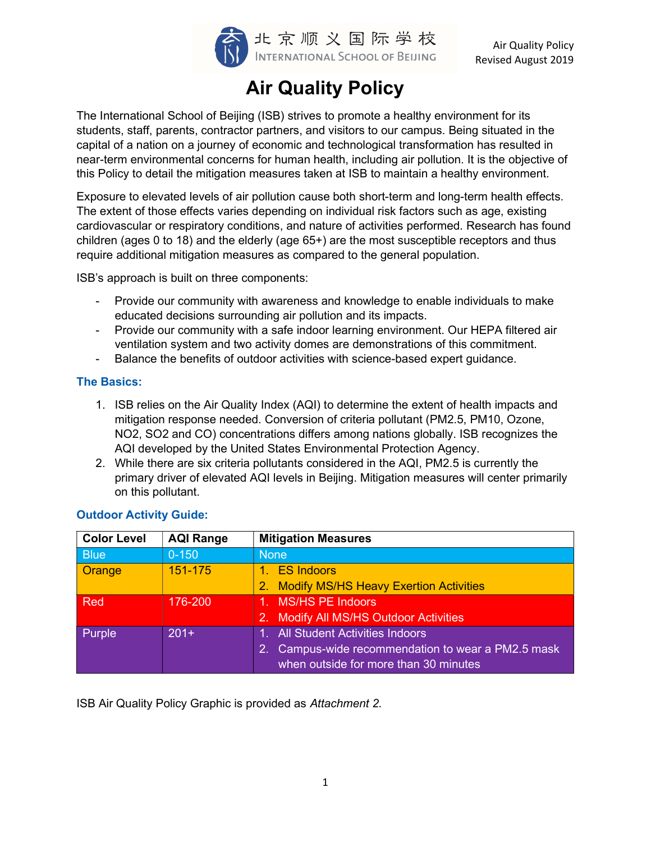

Air Quality Policy Revised August 2019

# Air Quality Policy

The International School of Beijing (ISB) strives to promote a healthy environment for its students, staff, parents, contractor partners, and visitors to our campus. Being situated in the capital of a nation on a journey of economic and technological transformation has resulted in near-term environmental concerns for human health, including air pollution. It is the objective of this Policy to detail the mitigation measures taken at ISB to maintain a healthy environment.

Exposure to elevated levels of air pollution cause both short-term and long-term health effects. The extent of those effects varies depending on individual risk factors such as age, existing cardiovascular or respiratory conditions, and nature of activities performed. Research has found children (ages 0 to 18) and the elderly (age 65+) are the most susceptible receptors and thus require additional mitigation measures as compared to the general population.

ISB's approach is built on three components:

- Provide our community with awareness and knowledge to enable individuals to make educated decisions surrounding air pollution and its impacts.
- Provide our community with a safe indoor learning environment. Our HEPA filtered air ventilation system and two activity domes are demonstrations of this commitment.
- Balance the benefits of outdoor activities with science-based expert guidance.

## The Basics:

- 1. ISB relies on the Air Quality Index (AQI) to determine the extent of health impacts and mitigation response needed. Conversion of criteria pollutant (PM2.5, PM10, Ozone, NO2, SO2 and CO) concentrations differs among nations globally. ISB recognizes the AQI developed by the United States Environmental Protection Agency.
- 2. While there are six criteria pollutants considered in the AQI, PM2.5 is currently the primary driver of elevated AQI levels in Beijing. Mitigation measures will center primarily on this pollutant.

| <b>Color Level</b> | <b>AQI Range</b> | <b>Mitigation Measures</b>                       |  |
|--------------------|------------------|--------------------------------------------------|--|
| <b>Blue</b>        | $0 - 150$        | <b>None</b>                                      |  |
| Orange             | 151-175          | 1. ES Indoors                                    |  |
|                    |                  | 2. Modify MS/HS Heavy Exertion Activities        |  |
| Red                | 176-200          | 1. MS/HS PE Indoors                              |  |
|                    |                  | <b>Modify All MS/HS Outdoor Activities</b><br>2. |  |
| Purple             | $201+$           | 1. All Student Activities Indoors                |  |
|                    |                  | Campus-wide recommendation to wear a PM2.5 mask  |  |
|                    |                  | when outside for more than 30 minutes            |  |

## Outdoor Activity Guide:

ISB Air Quality Policy Graphic is provided as Attachment 2.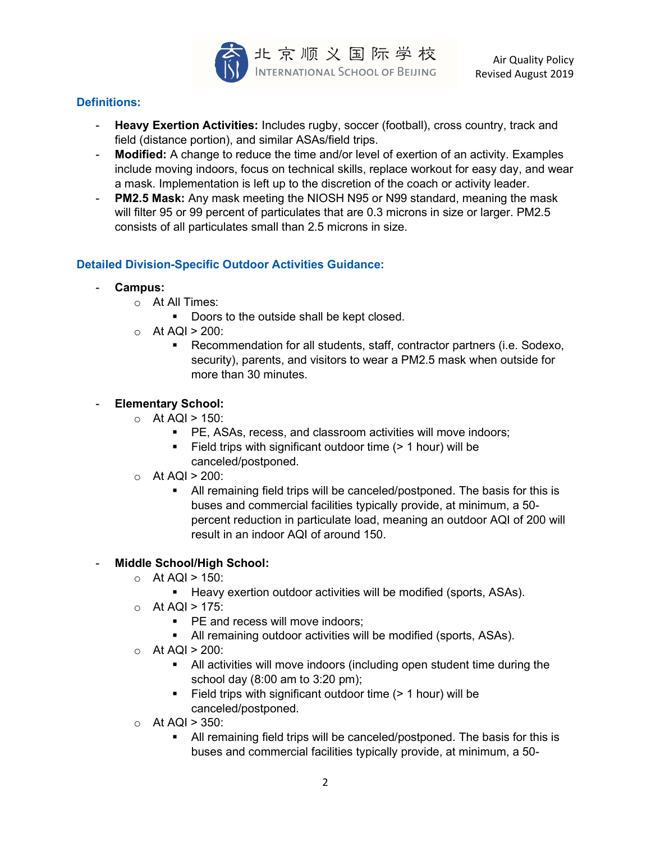

## Definitions:

- Heavy Exertion Activities: Includes rugby, soccer (football), cross country, track and field (distance portion), and similar ASAs/field trips.
- Modified: A change to reduce the time and/or level of exertion of an activity. Examples include moving indoors, focus on technical skills, replace workout for easy day, and wear a mask. Implementation is left up to the discretion of the coach or activity leader.
- PM2.5 Mask: Any mask meeting the NIOSH N95 or N99 standard, meaning the mask will filter 95 or 99 percent of particulates that are 0.3 microns in size or larger. PM2.5 consists of all particulates small than 2.5 microns in size.

## Detailed Division-Specific Outdoor Activities Guidance:

- Campus:
	- o At All Times:
		- Doors to the outside shall be kept closed.
	- $\circ$  At AQI > 200:
		- Recommendation for all students, staff, contractor partners (i.e. Sodexo, security), parents, and visitors to wear a PM2.5 mask when outside for more than 30 minutes.

## **Elementary School:**

- $\circ$  At AQI > 150:
	- PE, ASAs, recess, and classroom activities will move indoors;
	- Field trips with significant outdoor time (> 1 hour) will be canceled/postponed.
- $\circ$  At AQI > 200:
	- All remaining field trips will be canceled/postponed. The basis for this is buses and commercial facilities typically provide, at minimum, a 50 percent reduction in particulate load, meaning an outdoor AQI of 200 will result in an indoor AQI of around 150.

## Middle School/High School:

- $\circ$  At AQI > 150:
	- **Heavy exertion outdoor activities will be modified (sports, ASAs).**
- $\circ$  At AQI > 175:
	- **PE and recess will move indoors:**
	- All remaining outdoor activities will be modified (sports, ASAs).
- $\circ$  At AQI > 200:
	- All activities will move indoors (including open student time during the school day (8:00 am to 3:20 pm);
	- Field trips with significant outdoor time (> 1 hour) will be canceled/postponed.
- $\circ$  At AQI > 350:
	- All remaining field trips will be canceled/postponed. The basis for this is buses and commercial facilities typically provide, at minimum, a 50-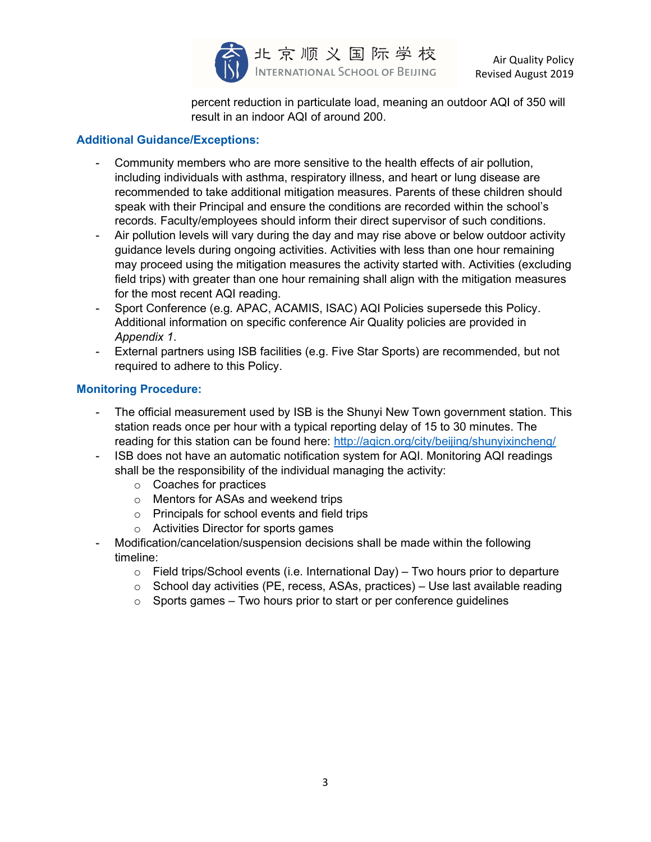

percent reduction in particulate load, meaning an outdoor AQI of 350 will result in an indoor AQI of around 200.

## Additional Guidance/Exceptions:

- Community members who are more sensitive to the health effects of air pollution, including individuals with asthma, respiratory illness, and heart or lung disease are recommended to take additional mitigation measures. Parents of these children should speak with their Principal and ensure the conditions are recorded within the school's records. Faculty/employees should inform their direct supervisor of such conditions.
- Air pollution levels will vary during the day and may rise above or below outdoor activity guidance levels during ongoing activities. Activities with less than one hour remaining may proceed using the mitigation measures the activity started with. Activities (excluding field trips) with greater than one hour remaining shall align with the mitigation measures for the most recent AQI reading.
- Sport Conference (e.g. APAC, ACAMIS, ISAC) AQI Policies supersede this Policy. Additional information on specific conference Air Quality policies are provided in Appendix 1.
- External partners using ISB facilities (e.g. Five Star Sports) are recommended, but not required to adhere to this Policy.

## Monitoring Procedure:

- The official measurement used by ISB is the Shunyi New Town government station. This station reads once per hour with a typical reporting delay of 15 to 30 minutes. The reading for this station can be found here: http://aqicn.org/city/beijing/shunyixincheng/
- ISB does not have an automatic notification system for AQI. Monitoring AQI readings shall be the responsibility of the individual managing the activity:
	- o Coaches for practices
	- o Mentors for ASAs and weekend trips
	- o Principals for school events and field trips
	- o Activities Director for sports games
- Modification/cancelation/suspension decisions shall be made within the following timeline:
	- $\circ$  Field trips/School events (i.e. International Day) Two hours prior to departure
	- $\circ$  School day activities (PE, recess, ASAs, practices) Use last available reading
	- $\circ$  Sports games Two hours prior to start or per conference quidelines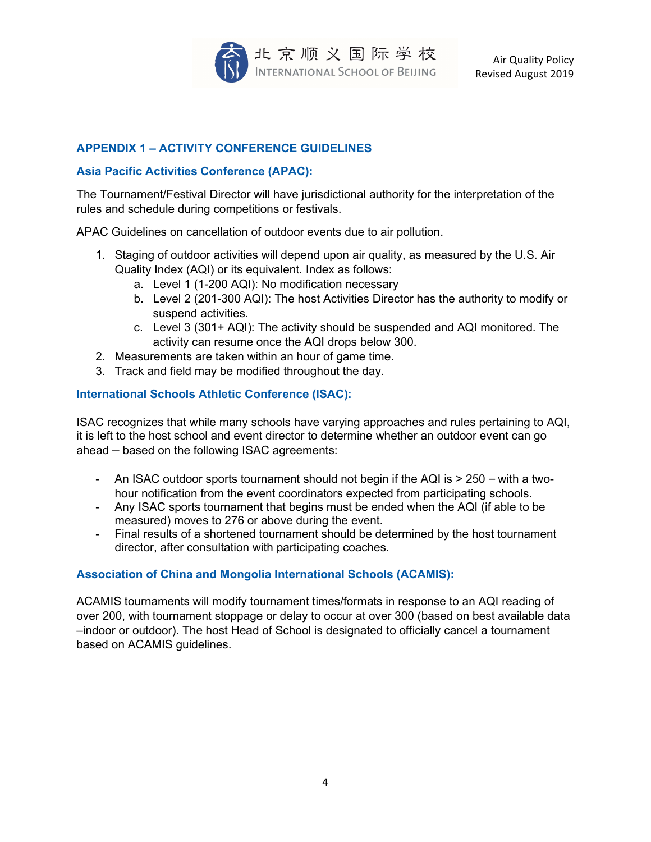

## APPENDIX 1 – ACTIVITY CONFERENCE GUIDELINES

## Asia Pacific Activities Conference (APAC):

The Tournament/Festival Director will have jurisdictional authority for the interpretation of the rules and schedule during competitions or festivals.

APAC Guidelines on cancellation of outdoor events due to air pollution.

- 1. Staging of outdoor activities will depend upon air quality, as measured by the U.S. Air Quality Index (AQI) or its equivalent. Index as follows:
	- a. Level 1 (1-200 AQI): No modification necessary
	- b. Level 2 (201-300 AQI): The host Activities Director has the authority to modify or suspend activities.
	- c. Level 3 (301+ AQI): The activity should be suspended and AQI monitored. The activity can resume once the AQI drops below 300.
- 2. Measurements are taken within an hour of game time.
- 3. Track and field may be modified throughout the day.

## International Schools Athletic Conference (ISAC):

ISAC recognizes that while many schools have varying approaches and rules pertaining to AQI, it is left to the host school and event director to determine whether an outdoor event can go ahead – based on the following ISAC agreements:

- An ISAC outdoor sports tournament should not begin if the AQI is > 250 with a twohour notification from the event coordinators expected from participating schools.
- Any ISAC sports tournament that begins must be ended when the AQI (if able to be measured) moves to 276 or above during the event.
- Final results of a shortened tournament should be determined by the host tournament director, after consultation with participating coaches.

## Association of China and Mongolia International Schools (ACAMIS):

ACAMIS tournaments will modify tournament times/formats in response to an AQI reading of over 200, with tournament stoppage or delay to occur at over 300 (based on best available data –indoor or outdoor). The host Head of School is designated to officially cancel a tournament based on ACAMIS guidelines.